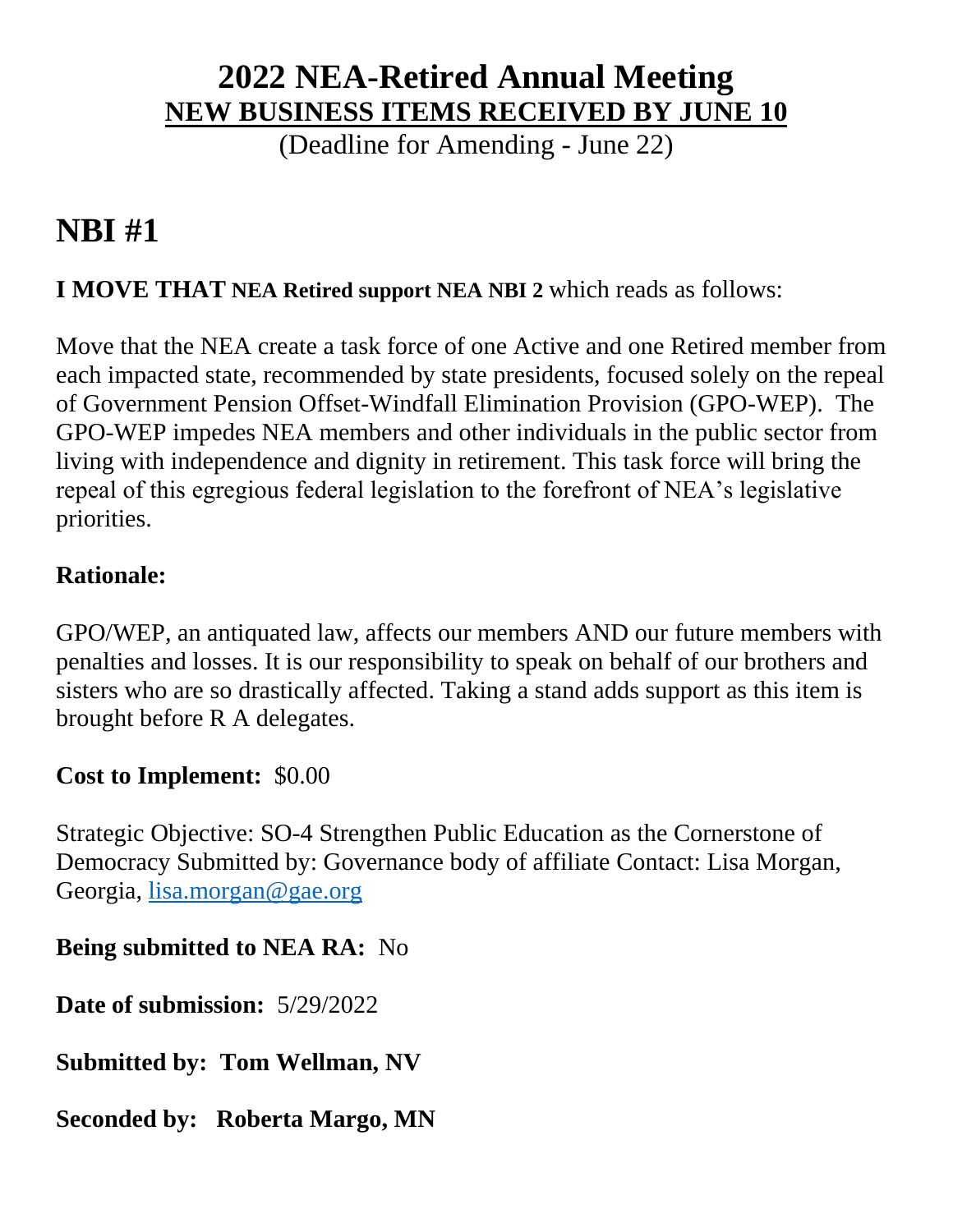### **2022 NEA-Retired Annual Meeting NEW BUSINESS ITEMS RECEIVED BY JUNE 10**

(Deadline for Amending - June 22)

# **NBI #1**

#### **I MOVE THAT NEA Retired support NEA NBI 2** which reads as follows:

Move that the NEA create a task force of one Active and one Retired member from each impacted state, recommended by state presidents, focused solely on the repeal of Government Pension Offset-Windfall Elimination Provision (GPO-WEP). The GPO-WEP impedes NEA members and other individuals in the public sector from living with independence and dignity in retirement. This task force will bring the repeal of this egregious federal legislation to the forefront of NEA's legislative priorities.

#### **Rationale:**

GPO/WEP, an antiquated law, affects our members AND our future members with penalties and losses. It is our responsibility to speak on behalf of our brothers and sisters who are so drastically affected. Taking a stand adds support as this item is brought before R A delegates.

#### **Cost to Implement:** \$0.00

Strategic Objective: SO-4 Strengthen Public Education as the Cornerstone of Democracy Submitted by: Governance body of affiliate Contact: Lisa Morgan, Georgia, [lisa.morgan@gae.org](mailto:lisa.morgan@gae.org)

#### **Being submitted to NEA RA:** No

**Date of submission:** 5/29/2022

**Submitted by: Tom Wellman, NV**

**Seconded by: Roberta Margo, MN**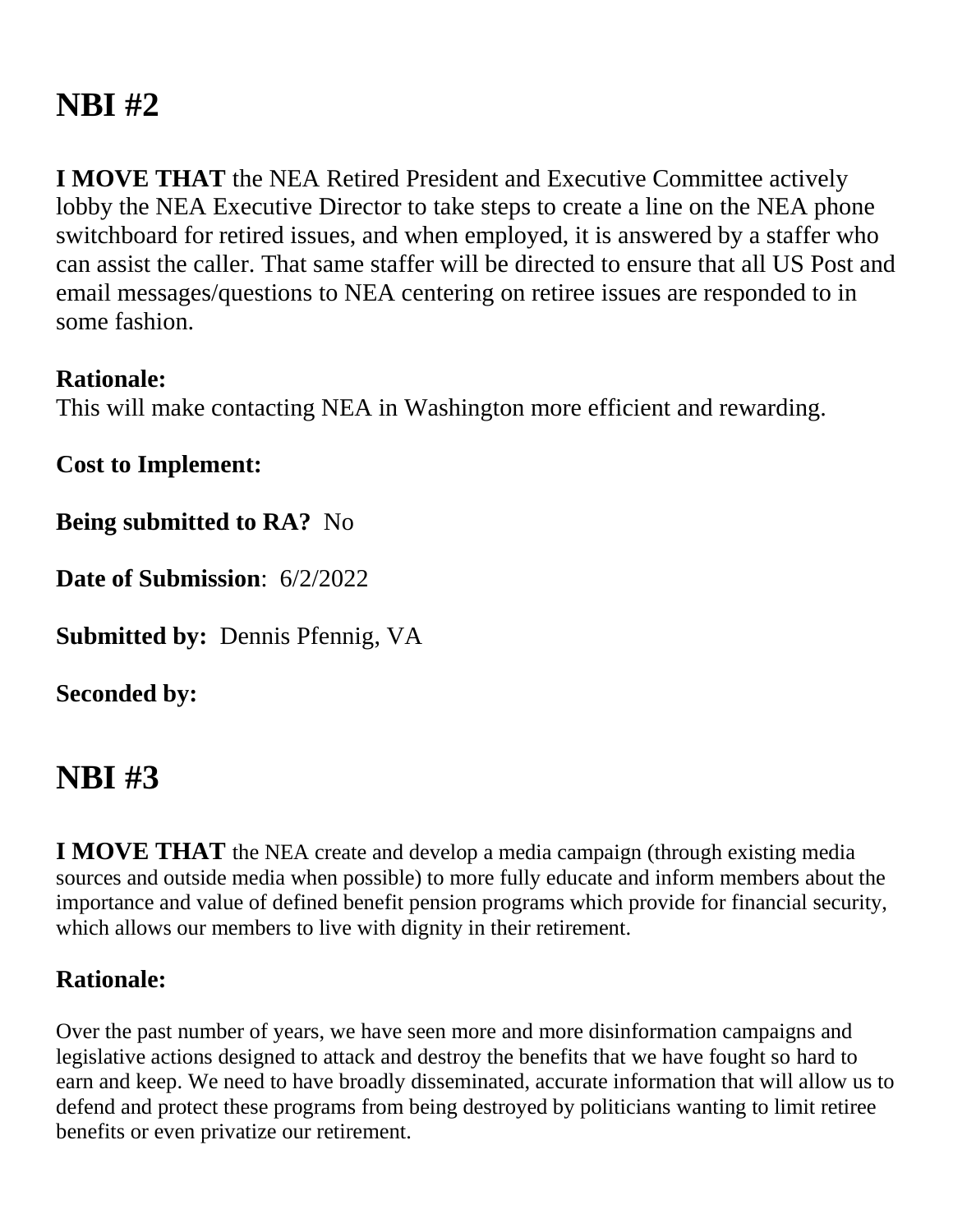# **NBI #2**

**I MOVE THAT** the NEA Retired President and Executive Committee actively lobby the NEA Executive Director to take steps to create a line on the NEA phone switchboard for retired issues, and when employed, it is answered by a staffer who can assist the caller. That same staffer will be directed to ensure that all US Post and email messages/questions to NEA centering on retiree issues are responded to in some fashion.

#### **Rationale:**

This will make contacting NEA in Washington more efficient and rewarding.

**Cost to Implement:**

**Being submitted to RA?** No

**Date of Submission**: 6/2/2022

**Submitted by:** Dennis Pfennig, VA

**Seconded by:** 

# **NBI #3**

**I MOVE THAT** the NEA create and develop a media campaign (through existing media sources and outside media when possible) to more fully educate and inform members about the importance and value of defined benefit pension programs which provide for financial security, which allows our members to live with dignity in their retirement.

#### **Rationale:**

Over the past number of years, we have seen more and more disinformation campaigns and legislative actions designed to attack and destroy the benefits that we have fought so hard to earn and keep. We need to have broadly disseminated, accurate information that will allow us to defend and protect these programs from being destroyed by politicians wanting to limit retiree benefits or even privatize our retirement.